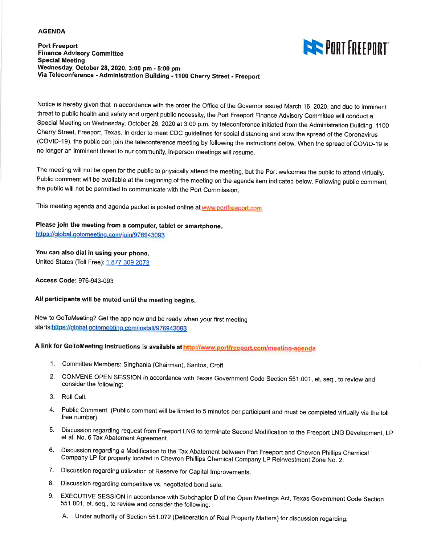## **AGENDA**

**Port Freeport Finance Advisory Committee Special Meeting** Wednesday, October 28, 2020, 3:00 pm - 5:00 pm Via Teleconference - Administration Building - 1100 Cherry Street - Freeport



Notice is hereby given that in accordance with the order the Office of the Governor issued March 16, 2020, and due to imminent threat to public health and safety and urgent public necessity, the Port Freeport Finance Advisory Committee will conduct a Special Meeting on Wednesday, October 28, 2020 at 3:00 p.m. by teleconference initiated from the Administration Building, 1100 Cherry Street, Freeport, Texas. In order to meet CDC guidelines for social distancing and slow the spread of the Coronavirus (COVID-19), the public can join the teleconference meeting by following the instructions below. When the spread of COVID-19 is no longer an imminent threat to our community, in-person meetings will resume.

The meeting will not be open for the public to physically attend the meeting, but the Port welcomes the public to attend virtually. Public comment will be available at the beginning of the meeting on the agenda item indicated below. Following public comment, the public will not be permitted to communicate with the Port Commission.

This meeting agenda and agenda packet is posted online at www.portfreeport.com

## Please join the meeting from a computer, tablet or smartphone.

https://global.gotomeeting.com/join/976943093

## You can also dial in using your phone.

United States (Toll Free): 1 877 309 2073

Access Code: 976-943-093

## All participants will be muted until the meeting begins.

New to GoToMeeting? Get the app now and be ready when your first meeting starts:https://global.gotomeeting.com/install/976943093

A link for GoToMeeting Instructions is available at http://www.portfreeport.com/meeting-agenda

- 1. Committee Members: Singhania (Chairman), Santos, Croft
- 2. CONVENE OPEN SESSION in accordance with Texas Government Code Section 551.001, et. seq., to review and consider the following:
- 3. Roll Call.
- 4. Public Comment. (Public comment will be limted to 5 minutes per participant and must be completed virtually via the toll free number)
- 5. Discussion regarding request from Freeport LNG to terminate Second Modification to the Freeport LNG Development, LP et al. No. 6 Tax Abatement Agreement.
- 6. Discussion regarding a Modification to the Tax Abatement between Port Freeport and Chevron Phillips Chemical Company LP for property located in Chevron Phillips Chemical Company LP Reinvestment Zone No. 2.
- 7. Discussion regarding utilization of Reserve for Capital Improvements.
- Discussion regarding competitive vs. negotiated bond sale. 8.
- EXECUTIVE SESSION in accordance with Subchapter D of the Open Meetings Act, Texas Government Code Section 9. 551.001, et. seq., to review and consider the following:
	- A. Under authority of Section 551.072 (Deliberation of Real Property Matters) for discussion regarding: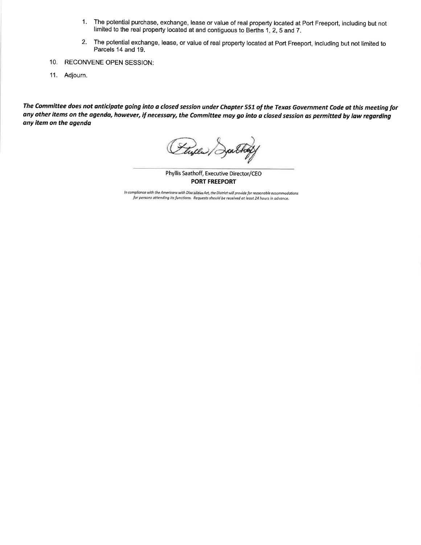- $1.$ The potential purchase, exchange, lease or value of real property located at Port Freeport, including but not limited to the real property located at and contiguous to Berths 1, 2, 5 and 7.
- 2. The potential exchange, lease, or value of real property located at Port Freeport, including but not limited to Parcels 14 and 19.
- 10. RECONVENE OPEN SESSION:
- 11. Adjourn.

The Committee does not anticipate going into a closed session under Chapter 551 of the Texas Government Code at this meeting for any other items on the agenda, however, if necessary, the Committee may go into a closed session as permitted by law regarding any item on the agenda

Phyllis Saathoff, Executive Director/CEO **PORT FREEPORT** 

In compliance with the Americans with Disabilities Act, the District will provide for reasonable accommodations for persons attending its functions. Requests should be received at least 24 hours in advance.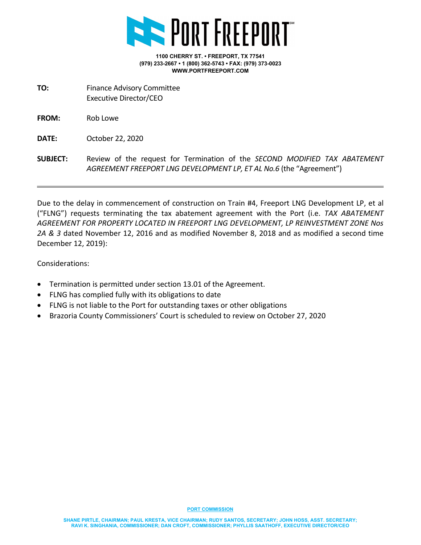

- **TO:** Finance Advisory Committee Executive Director/CEO
- **FROM:** Rob Lowe

**DATE:** October 22, 2020

**SUBJECT:** Review of the request for Termination of the *SECOND MODIFIED TAX ABATEMENT AGREEMENT FREEPORT LNG DEVELOPMENT LP, ET AL No.6* (the "Agreement")

Due to the delay in commencement of construction on Train #4, Freeport LNG Development LP, et al ("FLNG") requests terminating the tax abatement agreement with the Port (i.e. *TAX ABATEMENT AGREEMENT FOR PROPERTY LOCATED IN FREEPORT LNG DEVELOPMENT, LP REINVESTMENT ZONE Nos 2A & 3* dated November 12, 2016 and as modified November 8, 2018 and as modified a second time December 12, 2019):

Considerations:

- Termination is permitted under section 13.01 of the Agreement.
- FLNG has complied fully with its obligations to date
- FLNG is not liable to the Port for outstanding taxes or other obligations
- Brazoria County Commissioners' Court is scheduled to review on October 27, 2020

**PORT COMMISSION**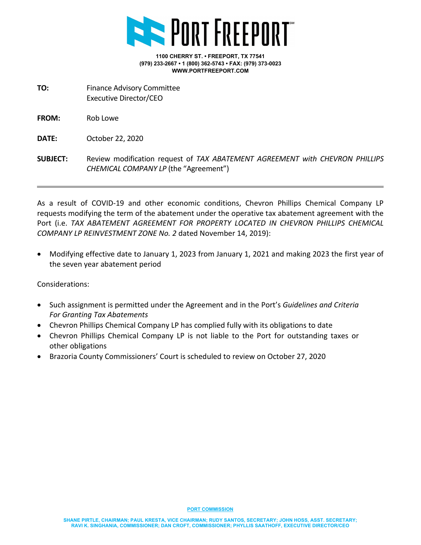

**TO:** Finance Advisory Committee Executive Director/CEO

**FROM:** Rob Lowe

**DATE:** October 22, 2020

**SUBJECT:** Review modification request of *TAX ABATEMENT AGREEMENT with CHEVRON PHILLIPS CHEMICAL COMPANY LP* (the "Agreement")

As a result of COVID-19 and other economic conditions, Chevron Phillips Chemical Company LP requests modifying the term of the abatement under the operative tax abatement agreement with the Port (i.e. *TAX ABATEMENT AGREEMENT FOR PROPERTY LOCATED IN CHEVRON PHILLIPS CHEMICAL COMPANY LP REINVESTMENT ZONE No. 2* dated November 14, 2019):

• Modifying effective date to January 1, 2023 from January 1, 2021 and making 2023 the first year of the seven year abatement period

Considerations:

- Such assignment is permitted under the Agreement and in the Port's *Guidelines and Criteria For Granting Tax Abatements*
- Chevron Phillips Chemical Company LP has complied fully with its obligations to date
- Chevron Phillips Chemical Company LP is not liable to the Port for outstanding taxes or other obligations
- Brazoria County Commissioners' Court is scheduled to review on October 27, 2020

**PORT COMMISSION**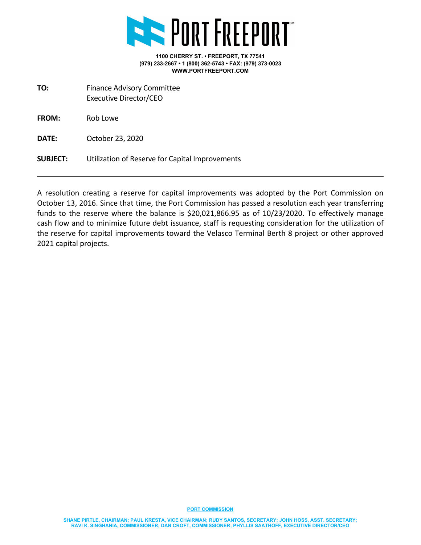

**TO:** Finance Advisory Committee Executive Director/CEO

**FROM:** Rob Lowe

**DATE:** October 23, 2020

**SUBJECT:** Utilization of Reserve for Capital Improvements

A resolution creating a reserve for capital improvements was adopted by the Port Commission on October 13, 2016. Since that time, the Port Commission has passed a resolution each year transferring funds to the reserve where the balance is \$20,021,866.95 as of 10/23/2020. To effectively manage cash flow and to minimize future debt issuance, staff is requesting consideration for the utilization of the reserve for capital improvements toward the Velasco Terminal Berth 8 project or other approved 2021 capital projects.